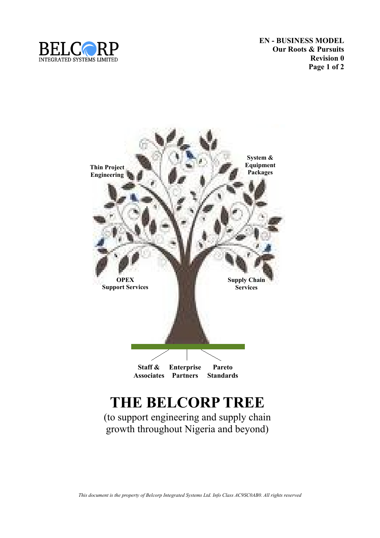

**EN - BUSINESS MODEL Our Roots & Pursuits Revision 0 Page 1 of 2**



## **THE BELCORP TREE**

(to support engineering and supply chain growth throughout Nigeria and beyond)

*This document is the property of Belcorp Integrated Systems Ltd. Info Class AC9SC0AB0. All rights reserved*